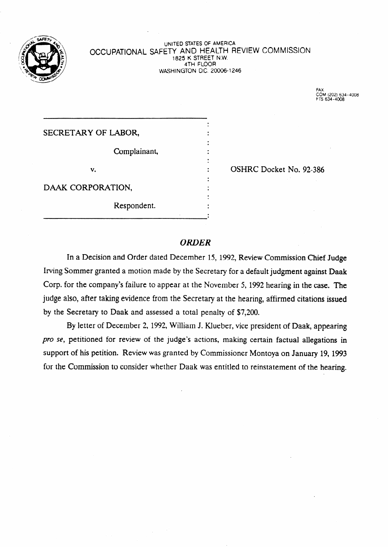

#### UNITED STATES OF AMERICA OCCUPATIONAL SAFETY AND HEALTH REVIEW COMMISSION 1825 K STREET N.W. 4TH FLOOR WASHINGTON D.C. 20006-1246

COM (202) 634-4008<br>FTS 634-4008

# SECRETARY OF LABOR, Complainant, v. Same Contract Construction Contract Construction Contract Construction Construction Construction Construction Construction Construction Construction Construction Construction Construction Construction Construction Const DAAK CORPORATION. Respondent.

.

## *ORDER*

In a Decision and Order dated December 15, 1992, Review Commission Chief Judge Irving Sommer granted a motion made by the Secretary for a default judgment against Daak Corp. for the company's failure to appear at the November 5, 1992 hearing in the case. The judge also, after taking evidence from the Secretary at the hearing, affirmed citations issued by the Secretary to Daak and assessed a total penalty of \$7,200.

By letter of December 2, 1992, William J. Klueber, vice president of Daak, appearing pro se, petitioned for review of the judge's actions, making certain factual allegations in support of his petition. Review was granted by Commissioner Montoya on January 19, 1993 for the Commission to consider whether Daak was entitled to reinstatement of the hearing.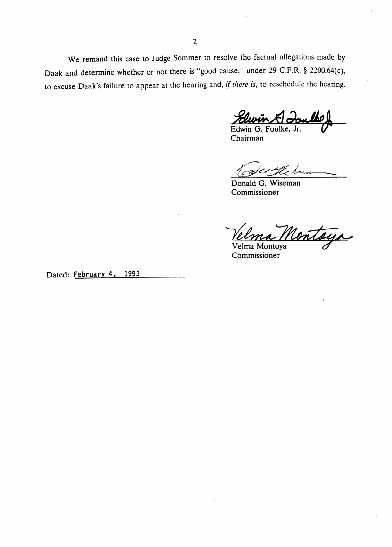We remand this case to Judge Sommer to resolve the factual allegations made by Daak and determine whether or not there is "good cause," under 29 C.F.R. § 2200.64(c), to excuse Daak's failure to appear at the hearing and, if there is, to reschedule the hearing.

Edwin G. Foulke, Jr.

Chairman

Donald G. Wiseman Commissioner

Velma Montaya

Commissioner

**Dated: February 4,** 1993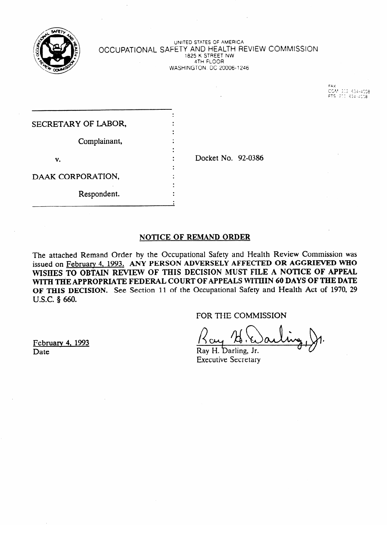

UNITED STATES OF AMERIC **OCCUPATIONAL SAFETT AND HEALTH REVIEW COMMISSION** 1825 K STREET NW  $\frac{1}{100}$ Whom has been believed to 2000 the state of the state of the state of the state of the state of the state of the state of the state of the state of the state of the state of the state of the state of the state of the state

| SECRETARY OF LABOR, |                    |  |
|---------------------|--------------------|--|
|                     |                    |  |
| Complainant,        |                    |  |
|                     |                    |  |
| v.                  | Docket No. 92-0386 |  |
|                     |                    |  |
| DAAK CORPORATION,   |                    |  |
|                     |                    |  |
| Respondent.         |                    |  |
|                     |                    |  |

## NOTICE OF REMAND ORDER

The attached Remand Order by the Occupational Safety and Health Review Commission was issued on February 4, 1993. ANY PERSON ADVERSELY AFFECTED OR AGGRIEVED WHO WISHES TO OBTAIN REVIEW OF THIS DECISION MUST FILE A NOTICE OF APPEAL WITH THE APPROPRIATE FEDERAL COURT OF APPEALS WITHIN 60 DAYS OF THE DATE OF THIS DECISION. See Section 11 of the Occupational Safety and Health Act of 1970, 29 U.S.C. § 660.  $\sigma$ ,  $\sigma$ ,  $\sigma$ ,  $\sigma$ ,  $\sigma$ ,  $\sigma$ ,  $\sigma$ ,  $\sigma$ ,  $\sigma$ ,  $\sigma$ ,  $\sigma$ ,  $\sigma$ ,  $\sigma$ ,  $\sigma$ ,  $\sigma$ ,  $\sigma$ ,  $\sigma$ ,  $\sigma$ ,  $\sigma$ ,  $\sigma$ ,  $\sigma$ ,  $\sigma$ ,  $\sigma$ ,  $\sigma$ ,  $\sigma$ ,  $\sigma$ ,  $\sigma$ ,  $\sigma$ ,  $\sigma$ ,  $\sigma$ ,  $\sigma$ ,  $\sigma$ ,  $\sigma$ ,  $\sigma$ ,  $\sigma$ ,  $\sigma$ ,  $\sigma$ ,

FOR THE COMMISSION

February 4, 1993  $P$  arv  $\frac{1}{2}$ 

 $\Omega_{\text{eff}}$ 

Ray H. Darling, Jr. Date Ray H. barling, Jr.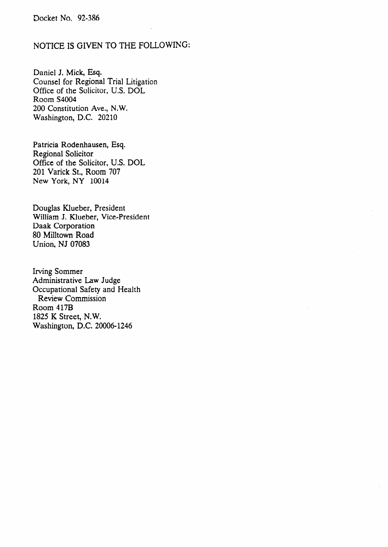## NOTICE IS GIVEN TO THE FOLLOWING:

Daniel J. Mick, Esq. Counsel for Regional Trial Litigation Office of the Solicitor, U.S. DOL Room S4004 200 Constitution Ave., N.W. Washington, D.C. 20210

Patricia Rodenhausen, Esq. Regional Solicitor Office of the Solicitor, U.S. DOL 201 Varick St., Room 707 New York, NY 10014

Douglas Klueber, President William J. Klueber, Vice-President Daak Corporation 80 Milltown Road Union, NJ 07083

Irving Sommer Administrative Law Judge Occupational Safety and Health Review Commission Room 417B 1825 K Street, N.W. Washington, D.C. 20006-1246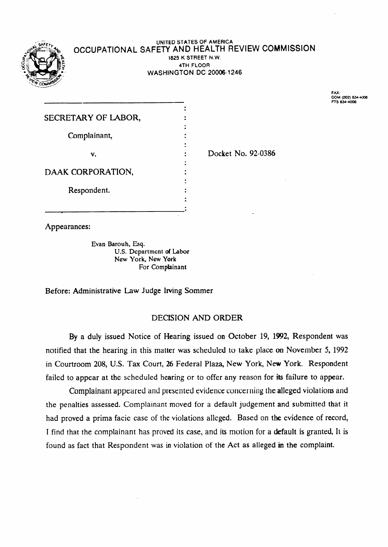

#### **UNITED STATES OF AMERICA**  OCCUPATIONAL SAFETY AND HEALTH REVIEW COMMISSION **1825 K STREET N.W. 4TH FLOOR**  WASHINGTON DC 20006-1246

**FAX: COM (202) 63rJ306 RS 634-4006** 

| SECRETARY OF LABOR, |  |
|---------------------|--|
|                     |  |
| Complainant,        |  |
| v.                  |  |
|                     |  |
| DAAK CORPORATION,   |  |
| Respondent.         |  |
|                     |  |
|                     |  |

Docket No. 92-0386

Appearances:

Evan Barouh, Esq. U.S. Department of Labor New York, New York For Complainant

Before: Administrative Law Judge Irving Sommer

## DECISION AND ORDER

By a duly issued Notice of Hearing issued on October 19, 1992, Respondent was notified that the hearing in this matter was scheduled to take place on November 5, 1992 in Courtroom 208, U.S. Tax Court, 26 Federal Plaza, New York, New York. Respondent failed to appear at the scheduled hearing or to offer any reason for its failure to appear.

Complainant appeared and presented evidence concerning the alleged violations and the penalties assessed. Complainant moved for a default judgement and submitted that it had proved a prima facie case of the violations alleged. Based on the evidence of record, I find that the complainant has proved its case, and its motion for a default is granted, It is found as fact that Respondent was in violation of the Act as alleged in the complaint.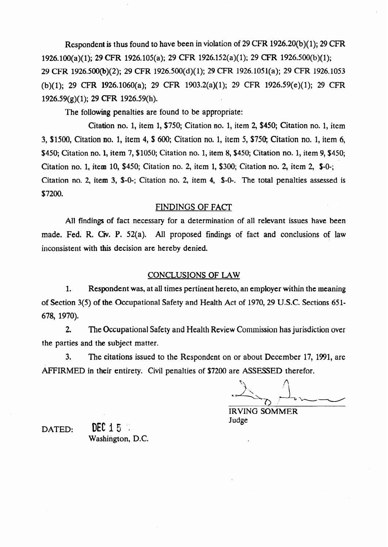Respondent is thus found to have been in violation of 29 **CFR** 1926.20(b)( 1); 29 CFR 1926.1OO(a)( l>; 29 CFR 1926.105(a); 29 **CFR** 1926.152(a)( 1); 29 CFR 1926500(b)( 1); 29 CFR 1926.500@)(2); 29 CFR 1926.500(d)(l); 29 CFR 1926.1051(a); 29 CFR 1926.1053 (b)(l); 29 CFR 1926.1060(a); 29 CFR 1903.2(a)(l); 29 CFR 192659(e)(l); 29 CFR 1926.59(g)( 1); 29 CFR 1926.59(h).

The following penalties are found to be appropriate:

Citation no. 1, item 1, \$750; Citation no. 1, item 2, \$450; Citation no. 1, item 3, \$1500, Citation no. 1, item 4, \$ 600; Citation no. 1, item 5, \$750; Citation no. 1, item 6, \$450; Citation no. 1, item 7, \$1050; Citation no. 1, item 8, \$450; Citation no. 1, item 9, \$450; Citation no. 1, item 10, \$450; Citation no. 2, item 1, \$300; Citation no. 2, item 2,  $$-0$ . Citation no. 2, item 3,  $$-0$ -; Citation no. 2, item 4,  $$-0$ -. The total penalties assessed is \$7200.

## FINDINGS OF FACT

AI1 findings of fact necessary for a determination of all relevant issues have been made. Fed. R. Civ. P. 52(a). All proposed findings of fact and conclusions of law inconsistent with this decision are hereby denied.

#### CONCLUSIONS OF LAW

1. Respondent was, at all times pertinent hereto, an employer within the meaning of Section 3(5) of the Occupational Safety and Health Act of 1970,29 U.S.C. Sections 651- 678, 1970).

2. The Occupational Safety and Health Review Commission has jurisdiction over the parties and the subject matter.

3. The citations issued to the Respondent on or about December 17, 1991, are AFFIRMED in their entirety. Civil penalties of \$7200 are ASSESSED therefor.

IRVING SOMMER Judge

DATED:  $\text{DEC 15}$ Washington, D.C.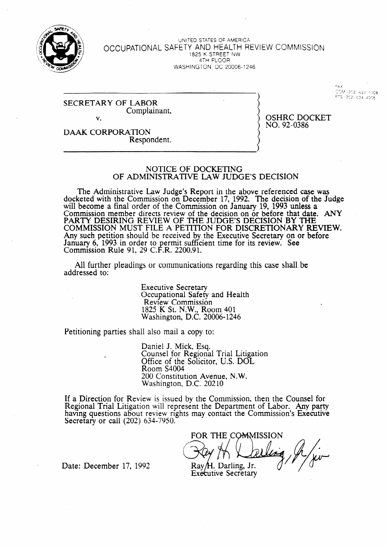

UNITED STATES OF AMERICA <sup>I</sup>**OCCUPATIONAL** SAFETY AND HEALTH REVIEW COMMISSION 1825 K STREET NW 4TH FLOOR WASHINGTON. DC 20006~t246

#### SECRETARY OF LABOR Complainant, v.

DAAK CORPORATION Respondent. **OSHRC DOCKET** NO. 92-0386

≃a y

FTS +202+ 634+4008

#### NOTICE OF DOCKETING OF ADMINISTRATIVE LAW JUDGE'S DECISION

The Administrative Law Judge's Report in the above referenced case was docketed with the Commission on December 17, 1992. The decision of the Judge will become a final order of the Commission on January 19, 1993 unless a Commission member directs review of the decision on or before that date. ANY PARTY DESIRING REVIEW OF THE JUDGE'S DECISION BY THE COMMISSION MUST FILE A PETITION FOR DISCRETIONARY REVIEW. Any such petition should be received by the Executive Secretary on or before January 6, 1993 in order to permit sufficient time for its review. See Commission Rule 91, 29 C.F.R. 2200.91.

All further pleadings or communications regarding this case shall be addressed to:

> Executive Secretary Occupational Safety and Health Review Commission 1825 K St. N.W., Room **401**  Washington, D.C. 20006- 1246

Petitioning parties shall also mail a copy to:

Daniel J. Mick, Esq. Counsel for Regional Trial Litigation Office of the Solicitor, U.S. DOL Room S4004 200 Constitution Avenue, N.W. Washington, D.C. 20210

If a Direction for Review is issued bv the Commission, then the Counsel for Regional Trial Litigation will represent the Department of Labor. Any party having questions about review rights may contact the Commission's Executive **Secretary or call (202) 634-7950.** 

FOR THE CO<del>M</del>MISSION Ray/H. Darling, Jr.

**Executive Secretary** 

Date: December 17, 1992